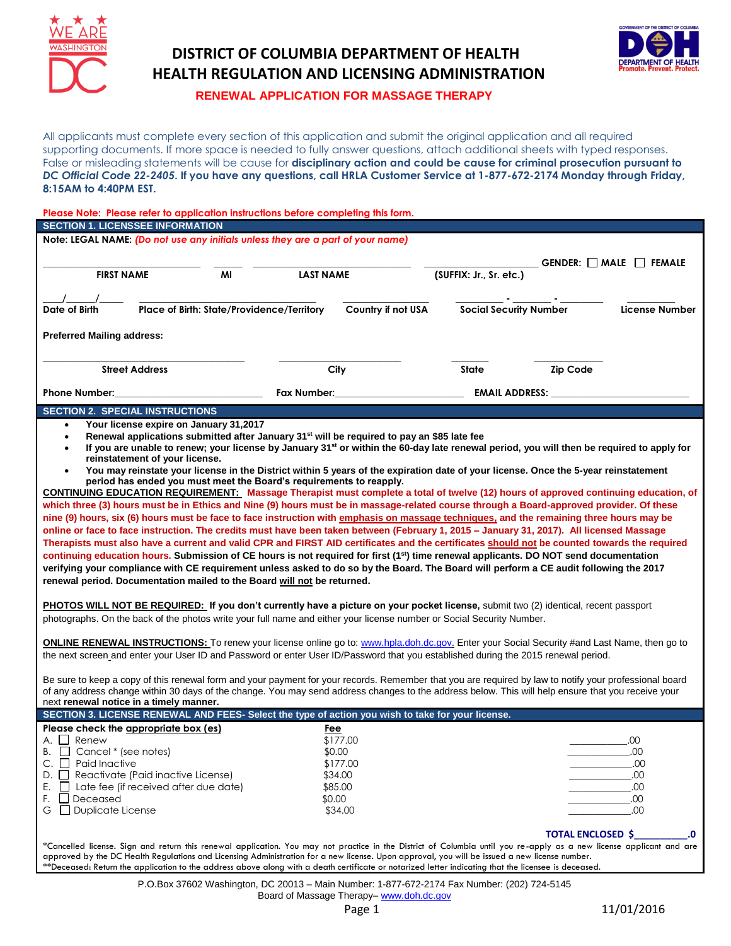

## **DISTRICT OF COLUMBIA DEPARTMENT OF HEALTH HEALTH REGULATION AND LICENSING ADMINISTRATION**



 **RENEWAL APPLICATION FOR MASSAGE THERAPY**

All applicants must complete every section of this application and submit the original application and all required supporting documents. If more space is needed to fully answer questions, attach additional sheets with typed responses. False or misleading statements will be cause for **disciplinary action and could be cause for criminal prosecution pursuant to**  *DC Official Code 22-2405***. If you have any questions, call HRLA Customer Service at 1-877-672-2174 Monday through Friday, 8:15AM to 4:40PM EST.** 

| Please Note: Please refer to application instructions before completing this form.                                                                                                                                                                                                       |                                                                                                                                                                                                                                                                                                                       |                     |                               |                                                                                                                                                                                                                                     |                                   |  |
|------------------------------------------------------------------------------------------------------------------------------------------------------------------------------------------------------------------------------------------------------------------------------------------|-----------------------------------------------------------------------------------------------------------------------------------------------------------------------------------------------------------------------------------------------------------------------------------------------------------------------|---------------------|-------------------------------|-------------------------------------------------------------------------------------------------------------------------------------------------------------------------------------------------------------------------------------|-----------------------------------|--|
| <b>SECTION 1. LICENSSEE INFORMATION</b>                                                                                                                                                                                                                                                  |                                                                                                                                                                                                                                                                                                                       |                     |                               |                                                                                                                                                                                                                                     |                                   |  |
| Note: LEGAL NAME: (Do not use any initials unless they are a part of your name)                                                                                                                                                                                                          |                                                                                                                                                                                                                                                                                                                       |                     |                               |                                                                                                                                                                                                                                     |                                   |  |
|                                                                                                                                                                                                                                                                                          |                                                                                                                                                                                                                                                                                                                       |                     |                               |                                                                                                                                                                                                                                     | GENDER: $\Box$ MALE $\Box$ FEMALE |  |
| <b>FIRST NAME</b>                                                                                                                                                                                                                                                                        | MI                                                                                                                                                                                                                                                                                                                    | <b>LAST NAME</b>    | (SUFFIX: Jr., Sr. etc.)       |                                                                                                                                                                                                                                     |                                   |  |
|                                                                                                                                                                                                                                                                                          |                                                                                                                                                                                                                                                                                                                       |                     |                               |                                                                                                                                                                                                                                     |                                   |  |
|                                                                                                                                                                                                                                                                                          |                                                                                                                                                                                                                                                                                                                       |                     |                               |                                                                                                                                                                                                                                     |                                   |  |
| Date of Birth                                                                                                                                                                                                                                                                            | Place of Birth: State/Providence/Territory                                                                                                                                                                                                                                                                            | Country if not USA  | <b>Social Security Number</b> |                                                                                                                                                                                                                                     | License Number                    |  |
| <b>Preferred Mailing address:</b>                                                                                                                                                                                                                                                        |                                                                                                                                                                                                                                                                                                                       |                     |                               |                                                                                                                                                                                                                                     |                                   |  |
| <b>Street Address</b>                                                                                                                                                                                                                                                                    |                                                                                                                                                                                                                                                                                                                       | City                | State                         | <b>Zip Code</b>                                                                                                                                                                                                                     |                                   |  |
| <b>Phone Number:</b>                                                                                                                                                                                                                                                                     | Fax Number:                                                                                                                                                                                                                                                                                                           |                     |                               | <b>EMAIL ADDRESS:</b> And the state of the state of the state of the state of the state of the state of the state of the state of the state of the state of the state of the state of the state of the state of the state of the st |                                   |  |
| <b>SECTION 2. SPECIAL INSTRUCTIONS</b>                                                                                                                                                                                                                                                   |                                                                                                                                                                                                                                                                                                                       |                     |                               |                                                                                                                                                                                                                                     |                                   |  |
| Your license expire on January 31,2017<br>$\bullet$                                                                                                                                                                                                                                      |                                                                                                                                                                                                                                                                                                                       |                     |                               |                                                                                                                                                                                                                                     |                                   |  |
| Renewal applications submitted after January 31 <sup>st</sup> will be required to pay an \$85 late fee<br>$\bullet$                                                                                                                                                                      |                                                                                                                                                                                                                                                                                                                       |                     |                               |                                                                                                                                                                                                                                     |                                   |  |
| If you are unable to renew; your license by January 31 <sup>st</sup> or within the 60-day late renewal period, you will then be required to apply for<br>$\bullet$                                                                                                                       |                                                                                                                                                                                                                                                                                                                       |                     |                               |                                                                                                                                                                                                                                     |                                   |  |
| reinstatement of your license.<br>You may reinstate your license in the District within 5 years of the expiration date of your license. Once the 5-year reinstatement<br>$\bullet$                                                                                                       |                                                                                                                                                                                                                                                                                                                       |                     |                               |                                                                                                                                                                                                                                     |                                   |  |
|                                                                                                                                                                                                                                                                                          |                                                                                                                                                                                                                                                                                                                       |                     |                               |                                                                                                                                                                                                                                     |                                   |  |
| period has ended you must meet the Board's requirements to reapply.<br><b>CONTINUING EDUCATION REQUIREMENT:</b> Massage Therapist must complete a total of twelve (12) hours of approved continuing education, of                                                                        |                                                                                                                                                                                                                                                                                                                       |                     |                               |                                                                                                                                                                                                                                     |                                   |  |
| which three (3) hours must be in Ethics and Nine (9) hours must be in massage-related course through a Board-approved provider. Of these                                                                                                                                                 |                                                                                                                                                                                                                                                                                                                       |                     |                               |                                                                                                                                                                                                                                     |                                   |  |
| nine (9) hours, six (6) hours must be face to face instruction with emphasis on massage techniques, and the remaining three hours may be                                                                                                                                                 |                                                                                                                                                                                                                                                                                                                       |                     |                               |                                                                                                                                                                                                                                     |                                   |  |
| online or face to face instruction. The credits must have been taken between (February 1, 2015 - January 31, 2017). All licensed Massage                                                                                                                                                 |                                                                                                                                                                                                                                                                                                                       |                     |                               |                                                                                                                                                                                                                                     |                                   |  |
| Therapists must also have a current and valid CPR and FIRST AID certificates and the certificates should not be counted towards the required                                                                                                                                             |                                                                                                                                                                                                                                                                                                                       |                     |                               |                                                                                                                                                                                                                                     |                                   |  |
| continuing education hours. Submission of CE hours is not required for first (1 <sup>st</sup> ) time renewal applicants. DO NOT send documentation                                                                                                                                       |                                                                                                                                                                                                                                                                                                                       |                     |                               |                                                                                                                                                                                                                                     |                                   |  |
| verifying your compliance with CE requirement unless asked to do so by the Board. The Board will perform a CE audit following the 2017                                                                                                                                                   |                                                                                                                                                                                                                                                                                                                       |                     |                               |                                                                                                                                                                                                                                     |                                   |  |
| renewal period. Documentation mailed to the Board will not be returned.                                                                                                                                                                                                                  |                                                                                                                                                                                                                                                                                                                       |                     |                               |                                                                                                                                                                                                                                     |                                   |  |
|                                                                                                                                                                                                                                                                                          |                                                                                                                                                                                                                                                                                                                       |                     |                               |                                                                                                                                                                                                                                     |                                   |  |
| PHOTOS WILL NOT BE REQUIRED: If you don't currently have a picture on your pocket license, submit two (2) identical, recent passport                                                                                                                                                     |                                                                                                                                                                                                                                                                                                                       |                     |                               |                                                                                                                                                                                                                                     |                                   |  |
| photographs. On the back of the photos write your full name and either your license number or Social Security Number.                                                                                                                                                                    |                                                                                                                                                                                                                                                                                                                       |                     |                               |                                                                                                                                                                                                                                     |                                   |  |
|                                                                                                                                                                                                                                                                                          |                                                                                                                                                                                                                                                                                                                       |                     |                               |                                                                                                                                                                                                                                     |                                   |  |
| <b>ONLINE RENEWAL INSTRUCTIONS:</b> To renew your license online go to: www.hpla.doh.dc.gov. Enter your Social Security #and Last Name, then go to<br>the next screen and enter your User ID and Password or enter User ID/Password that you established during the 2015 renewal period. |                                                                                                                                                                                                                                                                                                                       |                     |                               |                                                                                                                                                                                                                                     |                                   |  |
|                                                                                                                                                                                                                                                                                          |                                                                                                                                                                                                                                                                                                                       |                     |                               |                                                                                                                                                                                                                                     |                                   |  |
| Be sure to keep a copy of this renewal form and your payment for your records. Remember that you are required by law to notify your professional board                                                                                                                                   |                                                                                                                                                                                                                                                                                                                       |                     |                               |                                                                                                                                                                                                                                     |                                   |  |
| of any address change within 30 days of the change. You may send address changes to the address below. This will help ensure that you receive your                                                                                                                                       |                                                                                                                                                                                                                                                                                                                       |                     |                               |                                                                                                                                                                                                                                     |                                   |  |
| next renewal notice in a timely manner.                                                                                                                                                                                                                                                  |                                                                                                                                                                                                                                                                                                                       |                     |                               |                                                                                                                                                                                                                                     |                                   |  |
| SECTION 3. LICENSE RENEWAL AND FEES- Select the type of action you wish to take for your license.                                                                                                                                                                                        |                                                                                                                                                                                                                                                                                                                       |                     |                               |                                                                                                                                                                                                                                     |                                   |  |
| Please check the appropriate box (es)                                                                                                                                                                                                                                                    |                                                                                                                                                                                                                                                                                                                       | Fee                 |                               |                                                                                                                                                                                                                                     |                                   |  |
| $\Box$ Renew                                                                                                                                                                                                                                                                             |                                                                                                                                                                                                                                                                                                                       | \$177.00            |                               |                                                                                                                                                                                                                                     | .00                               |  |
| Cancel * (see notes)<br>B. L                                                                                                                                                                                                                                                             |                                                                                                                                                                                                                                                                                                                       | \$0.00              |                               |                                                                                                                                                                                                                                     | .00                               |  |
| C.<br>Paid Inactive<br>$\Box$<br>D.                                                                                                                                                                                                                                                      |                                                                                                                                                                                                                                                                                                                       | \$177.00<br>\$34.00 |                               |                                                                                                                                                                                                                                     | .00<br>.00                        |  |
| Reactivate (Paid inactive License)<br>Е.<br>Late fee (if received after due date)                                                                                                                                                                                                        |                                                                                                                                                                                                                                                                                                                       | \$85.00             |                               |                                                                                                                                                                                                                                     | .00                               |  |
| F.<br>Deceased                                                                                                                                                                                                                                                                           |                                                                                                                                                                                                                                                                                                                       | \$0.00              |                               |                                                                                                                                                                                                                                     | .00                               |  |
| $\Box$ Duplicate License<br>G                                                                                                                                                                                                                                                            |                                                                                                                                                                                                                                                                                                                       | \$34.00             |                               |                                                                                                                                                                                                                                     | .00                               |  |
|                                                                                                                                                                                                                                                                                          |                                                                                                                                                                                                                                                                                                                       |                     |                               |                                                                                                                                                                                                                                     |                                   |  |
|                                                                                                                                                                                                                                                                                          |                                                                                                                                                                                                                                                                                                                       |                     |                               | <b>TOTAL ENCLOSED \$</b>                                                                                                                                                                                                            |                                   |  |
|                                                                                                                                                                                                                                                                                          | *Cancelled license. Sign and return this renewal application. You may not practice in the District of Columbia until you re-apply as a new license applicant and are<br>approved by the DC Health Regulations and Licensing Administration for a new license. Upon approval, you will be issued a new license number. |                     |                               |                                                                                                                                                                                                                                     |                                   |  |
| **Deceased: Return the application to the address above along with a death certificate or notarized letter indicating that the licensee is deceased.                                                                                                                                     |                                                                                                                                                                                                                                                                                                                       |                     |                               |                                                                                                                                                                                                                                     |                                   |  |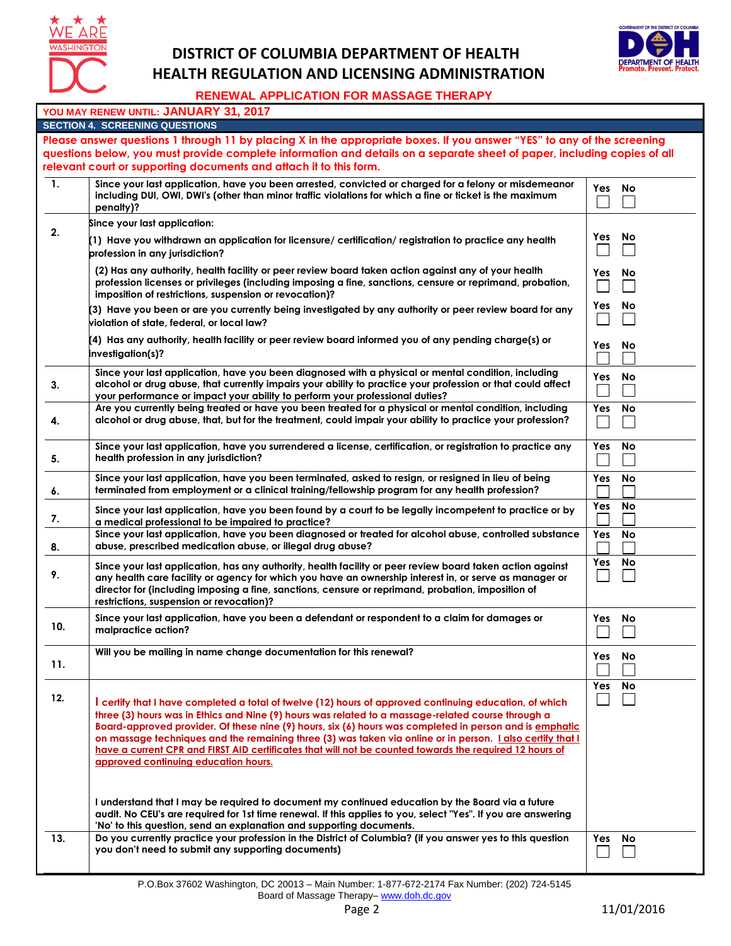

## **DISTRICT OF COLUMBIA DEPARTMENT OF HEALTH HEALTH REGULATION AND LICENSING ADMINISTRATION**



## **RENEWAL APPLICATION FOR MASSAGE THERAPY**

|                                                                                                                          | YOU MAY RENEW UNTIL: JANUARY 31, 2017                                                                                                                                                                                                                                                                                                                                                                                                                                                                                                                                                  |        |           |  |  |  |
|--------------------------------------------------------------------------------------------------------------------------|----------------------------------------------------------------------------------------------------------------------------------------------------------------------------------------------------------------------------------------------------------------------------------------------------------------------------------------------------------------------------------------------------------------------------------------------------------------------------------------------------------------------------------------------------------------------------------------|--------|-----------|--|--|--|
|                                                                                                                          | <b>SECTION 4. SCREENING QUESTIONS</b>                                                                                                                                                                                                                                                                                                                                                                                                                                                                                                                                                  |        |           |  |  |  |
|                                                                                                                          | Please answer questions 1 through 11 by placing X in the appropriate boxes. If you answer "YES" to any of the screening                                                                                                                                                                                                                                                                                                                                                                                                                                                                |        |           |  |  |  |
| questions below, you must provide complete information and details on a separate sheet of paper, including copies of all |                                                                                                                                                                                                                                                                                                                                                                                                                                                                                                                                                                                        |        |           |  |  |  |
|                                                                                                                          | relevant court or supporting documents and attach it to this form.                                                                                                                                                                                                                                                                                                                                                                                                                                                                                                                     |        |           |  |  |  |
| $\mathbf{1}$ .                                                                                                           | Since your last application, have you been arrested, convicted or charged for a felony or misdemeanor<br>including DUI, OWI, DWI's (other than minor traffic violations for which a fine or ticket is the maximum<br>penalty)?                                                                                                                                                                                                                                                                                                                                                         | Yes No |           |  |  |  |
|                                                                                                                          | Since your last application:                                                                                                                                                                                                                                                                                                                                                                                                                                                                                                                                                           |        |           |  |  |  |
| 2.                                                                                                                       | (1) Have you withdrawn an application for licensure/ certification/ registration to practice any health<br>profession in any jurisdiction?                                                                                                                                                                                                                                                                                                                                                                                                                                             | Yes    | <b>No</b> |  |  |  |
|                                                                                                                          | (2) Has any authority, health facility or peer review board taken action against any of your health<br>profession licenses or privileges (including imposing a fine, sanctions, censure or reprimand, probation,<br>imposition of restrictions, suspension or revocation)?                                                                                                                                                                                                                                                                                                             | Yes    | No        |  |  |  |
|                                                                                                                          | (3) Have you been or are you currently being investigated by any authority or peer review board for any<br>violation of state, federal, or local law?                                                                                                                                                                                                                                                                                                                                                                                                                                  | Yes    | No        |  |  |  |
|                                                                                                                          | (4) Has any authority, health facility or peer review board informed you of any pending charge(s) or<br>investigation(s)?                                                                                                                                                                                                                                                                                                                                                                                                                                                              | Yes    | No        |  |  |  |
| 3.                                                                                                                       | Since your last application, have you been diagnosed with a physical or mental condition, including<br>alcohol or drug abuse, that currently impairs your ability to practice your profession or that could affect<br>your performance or impact your ability to perform your professional duties?                                                                                                                                                                                                                                                                                     | Yes    | No        |  |  |  |
| 4.                                                                                                                       | Are you currently being treated or have you been treated for a physical or mental condition, including<br>alcohol or drug abuse, that, but for the treatment, could impair your ability to practice your profession?                                                                                                                                                                                                                                                                                                                                                                   | Yes    | No        |  |  |  |
| 5.                                                                                                                       | Since your last application, have you surrendered a license, certification, or registration to practice any<br>health profession in any jurisdiction?                                                                                                                                                                                                                                                                                                                                                                                                                                  | Yes    | No        |  |  |  |
| 6.                                                                                                                       | Since your last application, have you been terminated, asked to resign, or resigned in lieu of being<br>terminated from employment or a clinical training/fellowship program for any health profession?                                                                                                                                                                                                                                                                                                                                                                                | Yes    | No        |  |  |  |
| 7.                                                                                                                       | Since your last application, have you been found by a court to be legally incompetent to practice or by<br>a medical professional to be impaired to practice?                                                                                                                                                                                                                                                                                                                                                                                                                          | Yes    | No        |  |  |  |
| 8.                                                                                                                       | Since your last application, have you been diagnosed or treated for alcohol abuse, controlled substance<br>abuse, prescribed medication abuse, or illegal drug abuse?                                                                                                                                                                                                                                                                                                                                                                                                                  | Yes    | No        |  |  |  |
| 9.                                                                                                                       | Since your last application, has any authority, health facility or peer review board taken action against<br>any health care facility or agency for which you have an ownership interest in, or serve as manager or<br>director for (including imposing a fine, sanctions, censure or reprimand, probation, imposition of<br>restrictions, suspension or revocation)?                                                                                                                                                                                                                  | Yes    | No        |  |  |  |
| 10.                                                                                                                      | Since your last application, have you been a defendant or respondent to a claim for damages or<br>malpractice action?                                                                                                                                                                                                                                                                                                                                                                                                                                                                  | Yes    | No        |  |  |  |
| 11.                                                                                                                      | Will you be mailing in name change documentation for this renewal?                                                                                                                                                                                                                                                                                                                                                                                                                                                                                                                     | Yes No |           |  |  |  |
| 12.                                                                                                                      | certify that I have completed a total of twelve (12) hours of approved continuing education, of which<br>three (3) hours was in Ethics and Nine (9) hours was related to a massage-related course through a<br>Board-approved provider. Of these nine (9) hours, six (6) hours was completed in person and is emphatic<br>on massage techniques and the remaining three (3) was taken via online or in person. Lalso certify that I<br>have a current CPR and FIRST AID certificates that will not be counted towards the required 12 hours of<br>approved continuing education hours. | Yes    | No        |  |  |  |
|                                                                                                                          | I understand that I may be required to document my continued education by the Board via a future<br>audit. No CEU's are required for 1st time renewal. If this applies to you, select "Yes". If you are answering<br>'No' to this question, send an explanation and supporting documents.                                                                                                                                                                                                                                                                                              |        |           |  |  |  |
| 13.                                                                                                                      | Do you currently practice your profession in the District of Columbia? (if you answer yes to this question<br>you don't need to submit any supporting documents)                                                                                                                                                                                                                                                                                                                                                                                                                       | Yes    | No        |  |  |  |

P.O.Box 37602 Washington, DC 20013 – Main Number: 1-877-672-2174 Fax Number: (202) 724-5145 Board of Massage Therapy- www.doh.dc.gov